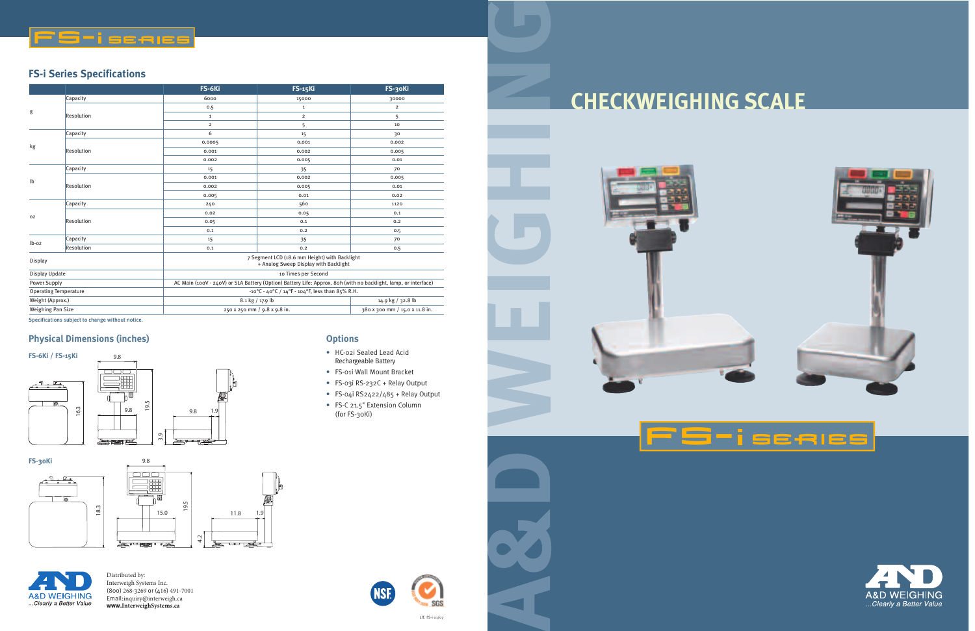





LIT: FS-i 01/07

# **CHECKWEIGHING SCALE**

Distributed by: Interweigh Systems Inc. (800) 268-3269 or (416) 491-7001 Email:inquiry@interweigh.ca **www.I[nterweigh](https://interweighsystems.ca/)Systems.ca**

#### **FS-i Series Specifications**

|                              |            | FS-6Ki                                                                                                          | <b>FS-15Ki</b>               | FS-30Ki           |
|------------------------------|------------|-----------------------------------------------------------------------------------------------------------------|------------------------------|-------------------|
| g                            | Capacity   | 6000                                                                                                            | 15000                        | 30000             |
|                              | Resolution | 0.5                                                                                                             | $\mathbf 1$                  | $\overline{2}$    |
|                              |            | $\mathbf{1}$                                                                                                    | $\overline{2}$               | 5                 |
|                              |            | $\overline{2}$                                                                                                  | 5                            | 10                |
| kg                           | Capacity   | 6                                                                                                               | 15                           | 30                |
|                              | Resolution | 0.0005                                                                                                          | 0.001                        | 0.002             |
|                              |            | 0.001                                                                                                           | 0.002                        | 0.005             |
|                              |            | 0.002                                                                                                           | 0.005                        | 0.01              |
| lb                           | Capacity   | 15                                                                                                              | 35                           | 70                |
|                              | Resolution | 0.001                                                                                                           | 0.002                        | 0.005             |
|                              |            | 0.002                                                                                                           | 0.005                        | 0.01              |
|                              |            | 0.005                                                                                                           | 0.01                         | 0.02              |
| 0Z                           | Capacity   | 240                                                                                                             | 560                          | 1120              |
|                              | Resolution | 0.02                                                                                                            | 0.05                         | 0.1               |
|                              |            | 0.05                                                                                                            | 0.1                          | 0.2               |
|                              |            | 0.1                                                                                                             | 0.2                          | 0.5               |
| lb-oz                        | Capacity   | 15                                                                                                              | 35                           | 70                |
|                              | Resolution | 0.1                                                                                                             | 0.2                          | 0.5               |
| Display                      |            | 7 Segment LCD (18.6 mm Height) with Backlight<br>+ Analog Sweep Display with Backlight                          |                              |                   |
| Display Update               |            | 10 Times per Second                                                                                             |                              |                   |
| <b>Power Supply</b>          |            | AC Main (100V - 240V) or SLA Battery (Option) Battery Life: Approx. 8oh (with no backlight, lamp, or interface) |                              |                   |
| <b>Operating Temperature</b> |            | -10°C - 40°C / 14°F - 104°F, less than 85% R.H.                                                                 |                              |                   |
| Weight (Approx.)             |            | 8.1 kg / 17.9 lb                                                                                                |                              | 14.9 kg / 32.8 lb |
| Weighing Pan Size            |            |                                                                                                                 | 250 x 250 mm / 9.8 x 9.8 in. |                   |

#### **Physical Dimensions (inches)**

Specifications subject to change without notice.

#### **Options**

- HC-02i Sealed Lead Acid Rechargeable Battery
- FS-01i Wall Mount Bracket
- FS-03i RS-232C + Relay Output
- FS-04i RS2422/485 + Relay Output
- FS-C 21.5" Extension Column (for FS-30Ki)